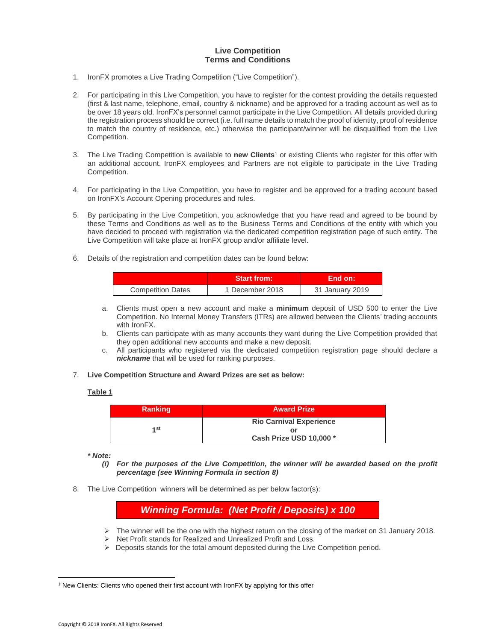## **Live Competition Terms and Conditions**

- 1. IronFX promotes a Live Trading Competition ("Live Competition").
- 2. For participating in this Live Competition, you have to register for the contest providing the details requested (first & last name, telephone, email, country & nickname) and be approved for a trading account as well as to be over 18 years old. IronFX's personnel cannot participate in the Live Competition. All details provided during the registration process should be correct (i.e. full name details to match the proof of identity, proof of residence to match the country of residence, etc.) otherwise the participant/winner will be disqualified from the Live Competition.
- 3. The Live Trading Competition is available to **new Clients**<sup>1</sup> or existing Clients who register for this offer with an additional account. IronFX employees and Partners are not eligible to participate in the Live Trading Competition.
- 4. For participating in the Live Competition, you have to register and be approved for a trading account based on IronFX's Account Opening procedures and rules.
- 5. By participating in the Live Competition, you acknowledge that you have read and agreed to be bound by these Terms and Conditions as well as to the Business Terms and Conditions of the entity with which you have decided to proceed with registration via the dedicated competition registration page of such entity. The Live Competition will take place at IronFX group and/or affiliate level.
- 6. Details of the registration and competition dates can be found below:

|                          | <b>Start from:</b> | ⊦End on: \      |
|--------------------------|--------------------|-----------------|
| <b>Competition Dates</b> | 1 December 2018    | 31 January 2019 |

- a. Clients must open a new account and make a **minimum** deposit of USD 500 to enter the Live Competition. No Internal Money Transfers (ITRs) are allowed between the Clients' trading accounts with IronFX.
- b. Clients can participate with as many accounts they want during the Live Competition provided that they open additional new accounts and make a new deposit.
- c. All participants who registered via the dedicated competition registration page should declare a *nickname* that will be used for ranking purposes.
- 7. **Live Competition Structure and Award Prizes are set as below:**

## **Table 1**

| <b>Ranking</b> | <b>Award Prize</b>             |  |
|----------------|--------------------------------|--|
| 1st            | <b>Rio Carnival Experience</b> |  |
|                | Cash Prize USD 10,000 *        |  |

*\* Note:* 

- *(i) For the purposes of the Live Competition, the winner will be awarded based on the profit percentage (see Winning Formula in section 8)*
- 8. The Live Competition winners will be determined as per below factor(s):

*Winning Formula: (Net Profit / Deposits) x 100*

- $\triangleright$  The winner will be the one with the highest return on the closing of the market on 31 January 2018.
- $\triangleright$  Net Profit stands for Realized and Unrealized Profit and Loss.
- $\triangleright$  Deposits stands for the total amount deposited during the Live Competition period.

 $\overline{a}$ 

<sup>1</sup> New Clients: Clients who opened their first account with IronFX by applying for this offer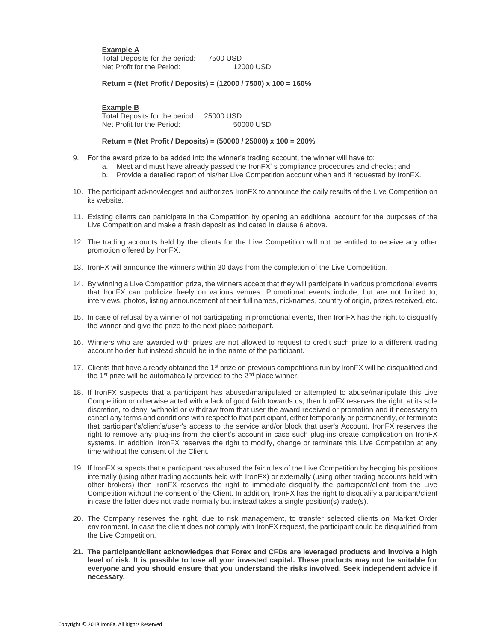## **Example A**

Total Deposits for the period: 7500 USD Net Profit for the Period:

**Return = (Net Profit / Deposits) = (12000 / 7500) x 100 = 160%**

**Example B**

Total Deposits for the period: 25000 USD Net Profit for the Period: 50000 USD

## **Return = (Net Profit / Deposits) = (50000 / 25000) x 100 = 200%**

- 9. For the award prize to be added into the winner's trading account, the winner will have to:
	- a. Meet and must have already passed the IronFX' s compliance procedures and checks; and
	- b. Provide a detailed report of his/her Live Competition account when and if requested by IronFX.
- 10. The participant acknowledges and authorizes IronFX to announce the daily results of the Live Competition on its website.
- 11. Existing clients can participate in the Competition by opening an additional account for the purposes of the Live Competition and make a fresh deposit as indicated in clause 6 above.
- 12. The trading accounts held by the clients for the Live Competition will not be entitled to receive any other promotion offered by IronFX.
- 13. IronFX will announce the winners within 30 days from the completion of the Live Competition.
- 14. By winning a Live Competition prize, the winners accept that they will participate in various promotional events that IronFX can publicize freely on various venues. Promotional events include, but are not limited to, interviews, photos, listing announcement of their full names, nicknames, country of origin, prizes received, etc.
- 15. In case of refusal by a winner of not participating in promotional events, then IronFX has the right to disqualify the winner and give the prize to the next place participant.
- 16. Winners who are awarded with prizes are not allowed to request to credit such prize to a different trading account holder but instead should be in the name of the participant.
- 17. Clients that have already obtained the 1<sup>st</sup> prize on previous competitions run by IronFX will be disqualified and the  $1<sup>st</sup>$  prize will be automatically provided to the  $2<sup>nd</sup>$  place winner.
- 18. If IronFX suspects that a participant has abused/manipulated or attempted to abuse/manipulate this Live Competition or otherwise acted with a lack of good faith towards us, then IronFX reserves the right, at its sole discretion, to deny, withhold or withdraw from that user the award received or promotion and if necessary to cancel any terms and conditions with respect to that participant, either temporarily or permanently, or terminate that participant's/client's/user's access to the service and/or block that user's Account. IronFX reserves the right to remove any plug-ins from the client's account in case such plug-ins create complication on IronFX systems. In addition, IronFX reserves the right to modify, change or terminate this Live Competition at any time without the consent of the Client.
- 19. If IronFX suspects that a participant has abused the fair rules of the Live Competition by hedging his positions internally (using other trading accounts held with IronFX) or externally (using other trading accounts held with other brokers) then IronFX reserves the right to immediate disqualify the participant/client from the Live Competition without the consent of the Client. In addition, IronFX has the right to disqualify a participant/client in case the latter does not trade normally but instead takes a single position(s) trade(s).
- 20. The Company reserves the right, due to risk management, to transfer selected clients on Market Order environment. In case the client does not comply with IronFX request, the participant could be disqualified from the Live Competition.
- **21. The participant/client acknowledges that Forex and CFDs are leveraged products and involve a high level of risk. It is possible to lose all your invested capital. These products may not be suitable for everyone and you should ensure that you understand the risks involved. Seek independent advice if necessary.**